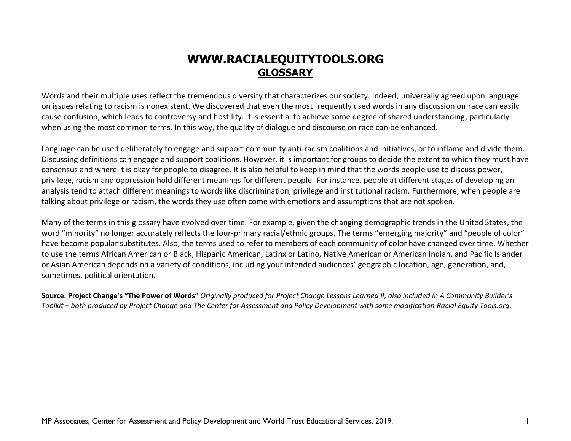## **WWW.RACIALEQUITYTOOLS.ORG [GLOSSARY](https://www.racialequitytools.org/glossary)**

Words and their multiple uses reflect the tremendous diversity that characterizes our society. Indeed, universally agreed upon language on issues relating to racism is nonexistent. We discovered that even the most frequently used words in any discussion on race can easily cause confusion, which leads to controversy and hostility. It is essential to achieve some degree of shared understanding, particularly when using the most common terms. In this way, the quality of dialogue and discourse on race can be enhanced.

Language can be used deliberately to engage and support community anti-racism coalitions and initiatives, or to inflame and divide them. Discussing definitions can engage and support coalitions. However, it is important for groups to decide the extent to which they must have consensus and where it is okay for people to disagree. It is also helpful to keep in mind that the words people use to discuss power, privilege, racism and oppression hold different meanings for different people. For instance, people at different stages of developing an analysis tend to attach different meanings to words like discrimination, privilege and institutional racism. Furthermore, when people are talking about privilege or racism, the words they use often come with emotions and assumptions that are not spoken.

Many of the terms in this glossary have evolved over time. For example, given the changing demographic trends in the United States, the word "minority" no longer accurately reflects the four-primary racial/ethnic groups. The terms "emerging majority" and "people of color" have become popular substitutes. Also, the terms used to refer to members of each community of color have changed over time. Whether to use the terms African American or Black, Hispanic American, Latinx or Latino, Native American or American Indian, and Pacific Islander or Asian American depends on a variety of conditions, including your intended audiences' geographic location, age, generation, and, sometimes, political orientation.

**Source: Project Change's "The Power of Words"** *Originally produced for Project Change Lessons Learned II, also included in A Community Builder's Toolkit – both produced by Project Change and The Center for Assessment and Policy Development with some modification Racial Equity Tools.org.*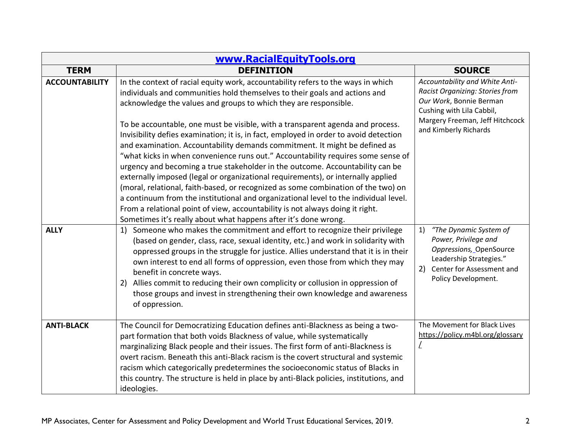| www.RacialEquityTools.org |                                                                                                                                                                                                                                                                                                                                                                                                                                                                                                                                                                                                                                                                                                                                                                                                                                                                                                                                                                                                                                                                                       |                                                                                                                                                                                       |
|---------------------------|---------------------------------------------------------------------------------------------------------------------------------------------------------------------------------------------------------------------------------------------------------------------------------------------------------------------------------------------------------------------------------------------------------------------------------------------------------------------------------------------------------------------------------------------------------------------------------------------------------------------------------------------------------------------------------------------------------------------------------------------------------------------------------------------------------------------------------------------------------------------------------------------------------------------------------------------------------------------------------------------------------------------------------------------------------------------------------------|---------------------------------------------------------------------------------------------------------------------------------------------------------------------------------------|
| <b>TERM</b>               | <b>DEFINITION</b>                                                                                                                                                                                                                                                                                                                                                                                                                                                                                                                                                                                                                                                                                                                                                                                                                                                                                                                                                                                                                                                                     | <b>SOURCE</b>                                                                                                                                                                         |
| <b>ACCOUNTABILITY</b>     | In the context of racial equity work, accountability refers to the ways in which<br>individuals and communities hold themselves to their goals and actions and<br>acknowledge the values and groups to which they are responsible.<br>To be accountable, one must be visible, with a transparent agenda and process.<br>Invisibility defies examination; it is, in fact, employed in order to avoid detection<br>and examination. Accountability demands commitment. It might be defined as<br>"what kicks in when convenience runs out." Accountability requires some sense of<br>urgency and becoming a true stakeholder in the outcome. Accountability can be<br>externally imposed (legal or organizational requirements), or internally applied<br>(moral, relational, faith-based, or recognized as some combination of the two) on<br>a continuum from the institutional and organizational level to the individual level.<br>From a relational point of view, accountability is not always doing it right.<br>Sometimes it's really about what happens after it's done wrong. | Accountability and White Anti-<br>Racist Organizing: Stories from<br>Our Work, Bonnie Berman<br>Cushing with Lila Cabbil,<br>Margery Freeman, Jeff Hitchcock<br>and Kimberly Richards |
| <b>ALLY</b>               | 1) Someone who makes the commitment and effort to recognize their privilege<br>(based on gender, class, race, sexual identity, etc.) and work in solidarity with<br>oppressed groups in the struggle for justice. Allies understand that it is in their<br>own interest to end all forms of oppression, even those from which they may<br>benefit in concrete ways.<br>Allies commit to reducing their own complicity or collusion in oppression of<br>2)<br>those groups and invest in strengthening their own knowledge and awareness<br>of oppression.                                                                                                                                                                                                                                                                                                                                                                                                                                                                                                                             | "The Dynamic System of<br>1)<br>Power, Privilege and<br>Oppressions, OpenSource<br>Leadership Strategies."<br>2)<br>Center for Assessment and<br>Policy Development.                  |
| <b>ANTI-BLACK</b>         | The Council for Democratizing Education defines anti-Blackness as being a two-<br>part formation that both voids Blackness of value, while systematically<br>marginalizing Black people and their issues. The first form of anti-Blackness is<br>overt racism. Beneath this anti-Black racism is the covert structural and systemic<br>racism which categorically predetermines the socioeconomic status of Blacks in<br>this country. The structure is held in place by anti-Black policies, institutions, and<br>ideologies.                                                                                                                                                                                                                                                                                                                                                                                                                                                                                                                                                        | The Movement for Black Lives<br>https://policy.m4bl.org/glossary<br>L                                                                                                                 |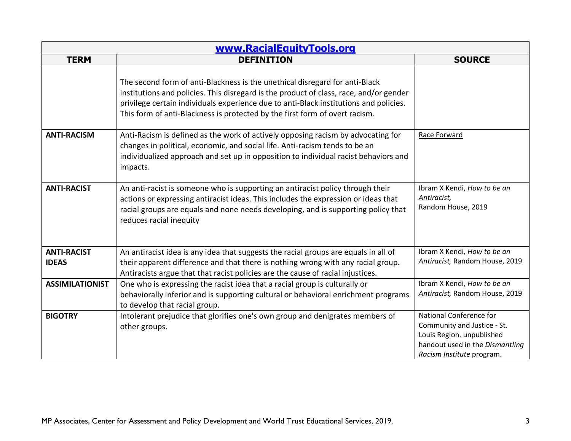| www.RacialEquityTools.org          |                                                                                                                                                                                                                                                                                                                                               |                                                                                                                                                     |
|------------------------------------|-----------------------------------------------------------------------------------------------------------------------------------------------------------------------------------------------------------------------------------------------------------------------------------------------------------------------------------------------|-----------------------------------------------------------------------------------------------------------------------------------------------------|
| <b>TERM</b>                        | <b>DEFINITION</b>                                                                                                                                                                                                                                                                                                                             | <b>SOURCE</b>                                                                                                                                       |
|                                    | The second form of anti-Blackness is the unethical disregard for anti-Black<br>institutions and policies. This disregard is the product of class, race, and/or gender<br>privilege certain individuals experience due to anti-Black institutions and policies.<br>This form of anti-Blackness is protected by the first form of overt racism. |                                                                                                                                                     |
| <b>ANTI-RACISM</b>                 | Anti-Racism is defined as the work of actively opposing racism by advocating for<br>changes in political, economic, and social life. Anti-racism tends to be an<br>individualized approach and set up in opposition to individual racist behaviors and<br>impacts.                                                                            | Race Forward                                                                                                                                        |
| <b>ANTI-RACIST</b>                 | An anti-racist is someone who is supporting an antiracist policy through their<br>actions or expressing antiracist ideas. This includes the expression or ideas that<br>racial groups are equals and none needs developing, and is supporting policy that<br>reduces racial inequity                                                          | Ibram X Kendi, How to be an<br>Antiracist,<br>Random House, 2019                                                                                    |
| <b>ANTI-RACIST</b><br><b>IDEAS</b> | An antiracist idea is any idea that suggests the racial groups are equals in all of<br>their apparent difference and that there is nothing wrong with any racial group.<br>Antiracists argue that that racist policies are the cause of racial injustices.                                                                                    | Ibram X Kendi, How to be an<br>Antiracist, Random House, 2019                                                                                       |
| <b>ASSIMILATIONIST</b>             | One who is expressing the racist idea that a racial group is culturally or<br>behaviorally inferior and is supporting cultural or behavioral enrichment programs<br>to develop that racial group.                                                                                                                                             | Ibram X Kendi, How to be an<br>Antiracist, Random House, 2019                                                                                       |
| <b>BIGOTRY</b>                     | Intolerant prejudice that glorifies one's own group and denigrates members of<br>other groups.                                                                                                                                                                                                                                                | National Conference for<br>Community and Justice - St.<br>Louis Region. unpublished<br>handout used in the Dismantling<br>Racism Institute program. |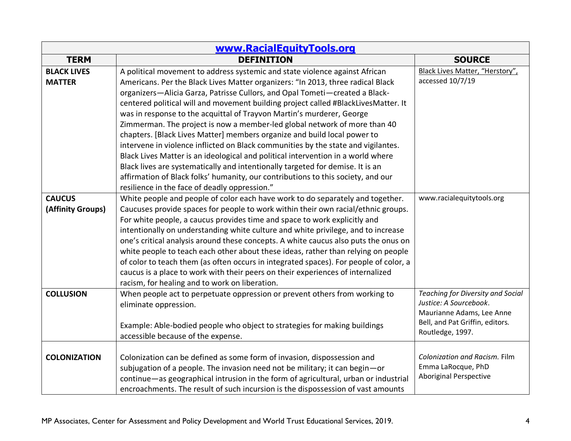| www.RacialEquityTools.org           |                                                                                                                                                                                                                                                                                                                                                                                                                                                                                                                                                                                                                                                                                                                                                                                                                                                                                                                                                                       |                                                                                                                                                 |
|-------------------------------------|-----------------------------------------------------------------------------------------------------------------------------------------------------------------------------------------------------------------------------------------------------------------------------------------------------------------------------------------------------------------------------------------------------------------------------------------------------------------------------------------------------------------------------------------------------------------------------------------------------------------------------------------------------------------------------------------------------------------------------------------------------------------------------------------------------------------------------------------------------------------------------------------------------------------------------------------------------------------------|-------------------------------------------------------------------------------------------------------------------------------------------------|
| <b>TERM</b>                         | <b>DEFINITION</b>                                                                                                                                                                                                                                                                                                                                                                                                                                                                                                                                                                                                                                                                                                                                                                                                                                                                                                                                                     | <b>SOURCE</b>                                                                                                                                   |
| <b>BLACK LIVES</b><br><b>MATTER</b> | A political movement to address systemic and state violence against African<br>Americans. Per the Black Lives Matter organizers: "In 2013, three radical Black<br>organizers-Alicia Garza, Patrisse Cullors, and Opal Tometi-created a Black-<br>centered political will and movement building project called #BlackLivesMatter. It<br>was in response to the acquittal of Trayvon Martin's murderer, George<br>Zimmerman. The project is now a member-led global network of more than 40<br>chapters. [Black Lives Matter] members organize and build local power to<br>intervene in violence inflicted on Black communities by the state and vigilantes.<br>Black Lives Matter is an ideological and political intervention in a world where<br>Black lives are systematically and intentionally targeted for demise. It is an<br>affirmation of Black folks' humanity, our contributions to this society, and our<br>resilience in the face of deadly oppression." | Black Lives Matter, "Herstory",<br>accessed 10/7/19                                                                                             |
| <b>CAUCUS</b><br>(Affinity Groups)  | White people and people of color each have work to do separately and together.<br>Caucuses provide spaces for people to work within their own racial/ethnic groups.<br>For white people, a caucus provides time and space to work explicitly and<br>intentionally on understanding white culture and white privilege, and to increase<br>one's critical analysis around these concepts. A white caucus also puts the onus on<br>white people to teach each other about these ideas, rather than relying on people<br>of color to teach them (as often occurs in integrated spaces). For people of color, a<br>caucus is a place to work with their peers on their experiences of internalized<br>racism, for healing and to work on liberation.                                                                                                                                                                                                                       | www.racialequitytools.org                                                                                                                       |
| <b>COLLUSION</b>                    | When people act to perpetuate oppression or prevent others from working to<br>eliminate oppression.<br>Example: Able-bodied people who object to strategies for making buildings<br>accessible because of the expense.                                                                                                                                                                                                                                                                                                                                                                                                                                                                                                                                                                                                                                                                                                                                                | Teaching for Diversity and Social<br>Justice: A Sourcebook.<br>Maurianne Adams, Lee Anne<br>Bell, and Pat Griffin, editors.<br>Routledge, 1997. |
| <b>COLONIZATION</b>                 | Colonization can be defined as some form of invasion, dispossession and<br>subjugation of a people. The invasion need not be military; it can begin-or<br>continue-as geographical intrusion in the form of agricultural, urban or industrial<br>encroachments. The result of such incursion is the dispossession of vast amounts                                                                                                                                                                                                                                                                                                                                                                                                                                                                                                                                                                                                                                     | Colonization and Racism. Film<br>Emma LaRocque, PhD<br><b>Aboriginal Perspective</b>                                                            |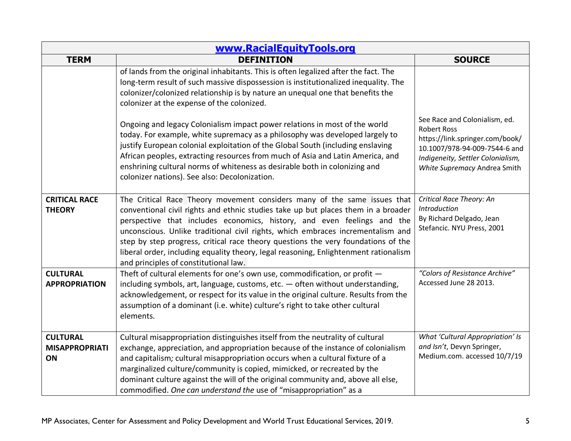| www.RacialEquityTools.org                      |                                                                                                                                                                                                                                                                                                                                                                                                                                                                                                                                                   |                                                                                                                                                                                              |
|------------------------------------------------|---------------------------------------------------------------------------------------------------------------------------------------------------------------------------------------------------------------------------------------------------------------------------------------------------------------------------------------------------------------------------------------------------------------------------------------------------------------------------------------------------------------------------------------------------|----------------------------------------------------------------------------------------------------------------------------------------------------------------------------------------------|
| <b>TERM</b>                                    | <b>DEFINITION</b>                                                                                                                                                                                                                                                                                                                                                                                                                                                                                                                                 | <b>SOURCE</b>                                                                                                                                                                                |
|                                                | of lands from the original inhabitants. This is often legalized after the fact. The<br>long-term result of such massive dispossession is institutionalized inequality. The<br>colonizer/colonized relationship is by nature an unequal one that benefits the<br>colonizer at the expense of the colonized.                                                                                                                                                                                                                                        |                                                                                                                                                                                              |
|                                                | Ongoing and legacy Colonialism impact power relations in most of the world<br>today. For example, white supremacy as a philosophy was developed largely to<br>justify European colonial exploitation of the Global South (including enslaving<br>African peoples, extracting resources from much of Asia and Latin America, and<br>enshrining cultural norms of whiteness as desirable both in colonizing and<br>colonizer nations). See also: Decolonization.                                                                                    | See Race and Colonialism, ed.<br><b>Robert Ross</b><br>https://link.springer.com/book/<br>10.1007/978-94-009-7544-6 and<br>Indigeneity, Settler Colonialism,<br>White Supremacy Andrea Smith |
| <b>CRITICAL RACE</b><br><b>THEORY</b>          | The Critical Race Theory movement considers many of the same issues that<br>conventional civil rights and ethnic studies take up but places them in a broader<br>perspective that includes economics, history, and even feelings and the<br>unconscious. Unlike traditional civil rights, which embraces incrementalism and<br>step by step progress, critical race theory questions the very foundations of the<br>liberal order, including equality theory, legal reasoning, Enlightenment rationalism<br>and principles of constitutional law. | Critical Race Theory: An<br>Introduction<br>By Richard Delgado, Jean<br>Stefancic. NYU Press, 2001                                                                                           |
| <b>CULTURAL</b><br><b>APPROPRIATION</b>        | Theft of cultural elements for one's own use, commodification, or profit -<br>including symbols, art, language, customs, etc. - often without understanding,<br>acknowledgement, or respect for its value in the original culture. Results from the<br>assumption of a dominant (i.e. white) culture's right to take other cultural<br>elements.                                                                                                                                                                                                  | "Colors of Resistance Archive"<br>Accessed June 28 2013.                                                                                                                                     |
| <b>CULTURAL</b><br><b>MISAPPROPRIATI</b><br>ON | Cultural misappropriation distinguishes itself from the neutrality of cultural<br>exchange, appreciation, and appropriation because of the instance of colonialism<br>and capitalism; cultural misappropriation occurs when a cultural fixture of a<br>marginalized culture/community is copied, mimicked, or recreated by the<br>dominant culture against the will of the original community and, above all else,<br>commodified. One can understand the use of "misappropriation" as a                                                          | What 'Cultural Appropriation' Is<br>and Isn't, Devyn Springer,<br>Medium.com. accessed 10/7/19                                                                                               |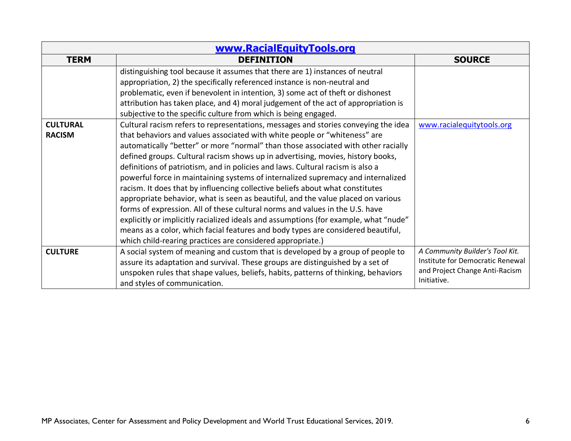| www.RacialEquityTools.org        |                                                                                                                                                                                                                                                                                                                                                                                                                                                                                                                                                                                                                                                                                                                                                                                                                                                                                                                                                                                                              |                                                                                                                      |
|----------------------------------|--------------------------------------------------------------------------------------------------------------------------------------------------------------------------------------------------------------------------------------------------------------------------------------------------------------------------------------------------------------------------------------------------------------------------------------------------------------------------------------------------------------------------------------------------------------------------------------------------------------------------------------------------------------------------------------------------------------------------------------------------------------------------------------------------------------------------------------------------------------------------------------------------------------------------------------------------------------------------------------------------------------|----------------------------------------------------------------------------------------------------------------------|
| <b>TERM</b>                      | <b>DEFINITION</b>                                                                                                                                                                                                                                                                                                                                                                                                                                                                                                                                                                                                                                                                                                                                                                                                                                                                                                                                                                                            | <b>SOURCE</b>                                                                                                        |
|                                  | distinguishing tool because it assumes that there are 1) instances of neutral<br>appropriation, 2) the specifically referenced instance is non-neutral and                                                                                                                                                                                                                                                                                                                                                                                                                                                                                                                                                                                                                                                                                                                                                                                                                                                   |                                                                                                                      |
|                                  | problematic, even if benevolent in intention, 3) some act of theft or dishonest<br>attribution has taken place, and 4) moral judgement of the act of appropriation is<br>subjective to the specific culture from which is being engaged.                                                                                                                                                                                                                                                                                                                                                                                                                                                                                                                                                                                                                                                                                                                                                                     |                                                                                                                      |
| <b>CULTURAL</b><br><b>RACISM</b> | Cultural racism refers to representations, messages and stories conveying the idea<br>that behaviors and values associated with white people or "whiteness" are<br>automatically "better" or more "normal" than those associated with other racially<br>defined groups. Cultural racism shows up in advertising, movies, history books,<br>definitions of patriotism, and in policies and laws. Cultural racism is also a<br>powerful force in maintaining systems of internalized supremacy and internalized<br>racism. It does that by influencing collective beliefs about what constitutes<br>appropriate behavior, what is seen as beautiful, and the value placed on various<br>forms of expression. All of these cultural norms and values in the U.S. have<br>explicitly or implicitly racialized ideals and assumptions (for example, what "nude"<br>means as a color, which facial features and body types are considered beautiful,<br>which child-rearing practices are considered appropriate.) | www.racialequitytools.org                                                                                            |
| <b>CULTURE</b>                   | A social system of meaning and custom that is developed by a group of people to<br>assure its adaptation and survival. These groups are distinguished by a set of<br>unspoken rules that shape values, beliefs, habits, patterns of thinking, behaviors<br>and styles of communication.                                                                                                                                                                                                                                                                                                                                                                                                                                                                                                                                                                                                                                                                                                                      | A Community Builder's Tool Kit.<br>Institute for Democratic Renewal<br>and Project Change Anti-Racism<br>Initiative. |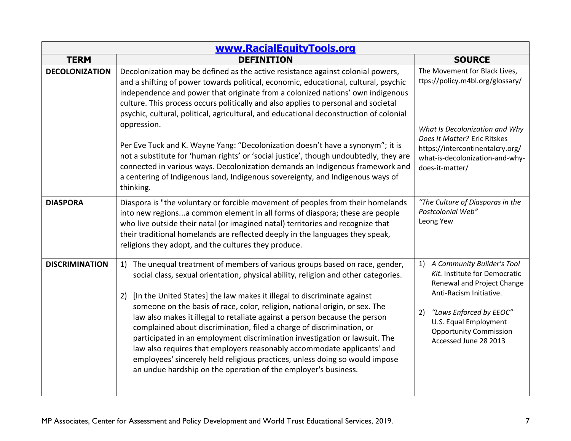| www.RacialEquityTools.org |                                                                                                                                                                                                                                                                                                                                                                                                                                                                                                                                                                                                                                                                                                                                                                                                     |                                                                                                                                                                                                                                                |
|---------------------------|-----------------------------------------------------------------------------------------------------------------------------------------------------------------------------------------------------------------------------------------------------------------------------------------------------------------------------------------------------------------------------------------------------------------------------------------------------------------------------------------------------------------------------------------------------------------------------------------------------------------------------------------------------------------------------------------------------------------------------------------------------------------------------------------------------|------------------------------------------------------------------------------------------------------------------------------------------------------------------------------------------------------------------------------------------------|
| <b>TERM</b>               | <b>DEFINITION</b>                                                                                                                                                                                                                                                                                                                                                                                                                                                                                                                                                                                                                                                                                                                                                                                   | <b>SOURCE</b>                                                                                                                                                                                                                                  |
| <b>DECOLONIZATION</b>     | Decolonization may be defined as the active resistance against colonial powers,<br>and a shifting of power towards political, economic, educational, cultural, psychic<br>independence and power that originate from a colonized nations' own indigenous<br>culture. This process occurs politically and also applies to personal and societal<br>psychic, cultural, political, agricultural, and educational deconstruction of colonial<br>oppression.                                                                                                                                                                                                                                                                                                                                             | The Movement for Black Lives,<br>ttps://policy.m4bl.org/glossary/                                                                                                                                                                              |
|                           | Per Eve Tuck and K. Wayne Yang: "Decolonization doesn't have a synonym"; it is<br>not a substitute for 'human rights' or 'social justice', though undoubtedly, they are<br>connected in various ways. Decolonization demands an Indigenous framework and<br>a centering of Indigenous land, Indigenous sovereignty, and Indigenous ways of<br>thinking.                                                                                                                                                                                                                                                                                                                                                                                                                                             | What Is Decolonization and Why<br>Does It Matter? Eric Ritskes<br>https://intercontinentalcry.org/<br>what-is-decolonization-and-why-<br>does-it-matter/                                                                                       |
| <b>DIASPORA</b>           | Diaspora is "the voluntary or forcible movement of peoples from their homelands<br>into new regionsa common element in all forms of diaspora; these are people<br>who live outside their natal (or imagined natal) territories and recognize that<br>their traditional homelands are reflected deeply in the languages they speak,<br>religions they adopt, and the cultures they produce.                                                                                                                                                                                                                                                                                                                                                                                                          | "The Culture of Diasporas in the<br>Postcolonial Web"<br>Leong Yew                                                                                                                                                                             |
| <b>DISCRIMINATION</b>     | 1) The unequal treatment of members of various groups based on race, gender,<br>social class, sexual orientation, physical ability, religion and other categories.<br>[In the United States] the law makes it illegal to discriminate against<br>2)<br>someone on the basis of race, color, religion, national origin, or sex. The<br>law also makes it illegal to retaliate against a person because the person<br>complained about discrimination, filed a charge of discrimination, or<br>participated in an employment discrimination investigation or lawsuit. The<br>law also requires that employers reasonably accommodate applicants' and<br>employees' sincerely held religious practices, unless doing so would impose<br>an undue hardship on the operation of the employer's business. | A Community Builder's Tool<br>1)<br>Kit. Institute for Democratic<br>Renewal and Project Change<br>Anti-Racism Initiative.<br>"Laws Enforced by EEOC"<br>2)<br>U.S. Equal Employment<br><b>Opportunity Commission</b><br>Accessed June 28 2013 |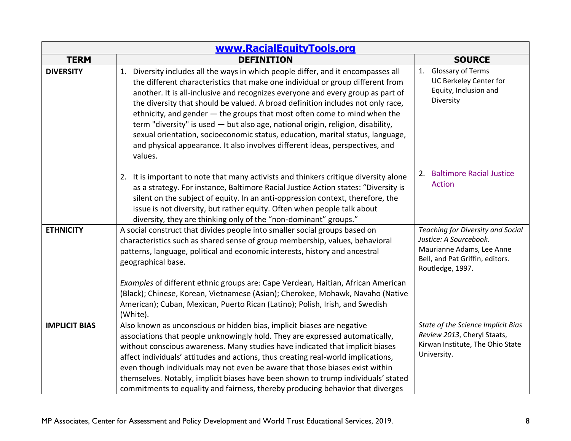| www.RacialEquityTools.org |                                                                                                                                                                                                                                                                                                                                                                                                                                                                                                                                                                                                                                                                                       |                                                                                                                                                 |
|---------------------------|---------------------------------------------------------------------------------------------------------------------------------------------------------------------------------------------------------------------------------------------------------------------------------------------------------------------------------------------------------------------------------------------------------------------------------------------------------------------------------------------------------------------------------------------------------------------------------------------------------------------------------------------------------------------------------------|-------------------------------------------------------------------------------------------------------------------------------------------------|
| <b>TERM</b>               | <b>DEFINITION</b>                                                                                                                                                                                                                                                                                                                                                                                                                                                                                                                                                                                                                                                                     | <b>SOURCE</b>                                                                                                                                   |
| <b>DIVERSITY</b>          | 1. Diversity includes all the ways in which people differ, and it encompasses all<br>the different characteristics that make one individual or group different from<br>another. It is all-inclusive and recognizes everyone and every group as part of<br>the diversity that should be valued. A broad definition includes not only race,<br>ethnicity, and gender - the groups that most often come to mind when the<br>term "diversity" is used - but also age, national origin, religion, disability,<br>sexual orientation, socioeconomic status, education, marital status, language,<br>and physical appearance. It also involves different ideas, perspectives, and<br>values. | 1. Glossary of Terms<br>UC Berkeley Center for<br>Equity, Inclusion and<br>Diversity                                                            |
|                           | 2. It is important to note that many activists and thinkers critique diversity alone<br>as a strategy. For instance, Baltimore Racial Justice Action states: "Diversity is<br>silent on the subject of equity. In an anti-oppression context, therefore, the<br>issue is not diversity, but rather equity. Often when people talk about<br>diversity, they are thinking only of the "non-dominant" groups."                                                                                                                                                                                                                                                                           | 2. Baltimore Racial Justice<br><b>Action</b>                                                                                                    |
| <b>ETHNICITY</b>          | A social construct that divides people into smaller social groups based on<br>characteristics such as shared sense of group membership, values, behavioral<br>patterns, language, political and economic interests, history and ancestral<br>geographical base.                                                                                                                                                                                                                                                                                                                                                                                                                       | Teaching for Diversity and Social<br>Justice: A Sourcebook.<br>Maurianne Adams, Lee Anne<br>Bell, and Pat Griffin, editors.<br>Routledge, 1997. |
|                           | Examples of different ethnic groups are: Cape Verdean, Haitian, African American<br>(Black); Chinese, Korean, Vietnamese (Asian); Cherokee, Mohawk, Navaho (Native<br>American); Cuban, Mexican, Puerto Rican (Latino); Polish, Irish, and Swedish<br>(White).                                                                                                                                                                                                                                                                                                                                                                                                                        |                                                                                                                                                 |
| <b>IMPLICIT BIAS</b>      | Also known as unconscious or hidden bias, implicit biases are negative<br>associations that people unknowingly hold. They are expressed automatically,<br>without conscious awareness. Many studies have indicated that implicit biases<br>affect individuals' attitudes and actions, thus creating real-world implications,<br>even though individuals may not even be aware that those biases exist within<br>themselves. Notably, implicit biases have been shown to trump individuals' stated<br>commitments to equality and fairness, thereby producing behavior that diverges                                                                                                   | State of the Science Implicit Bias<br>Review 2013, Cheryl Staats,<br>Kirwan Institute, The Ohio State<br>University.                            |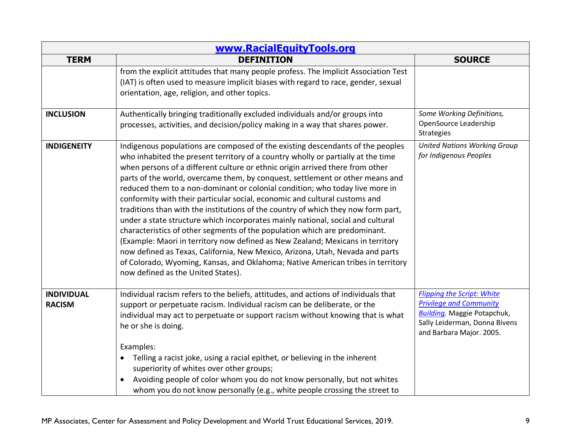| www.RacialEquityTools.org          |                                                                                                                                                                                                                                                                                                                                                                                                                                                                                                                                                                                                                                                                                                                                                                                                                                                                                                                                                                                                                                                      |                                                                                                                                                                         |
|------------------------------------|------------------------------------------------------------------------------------------------------------------------------------------------------------------------------------------------------------------------------------------------------------------------------------------------------------------------------------------------------------------------------------------------------------------------------------------------------------------------------------------------------------------------------------------------------------------------------------------------------------------------------------------------------------------------------------------------------------------------------------------------------------------------------------------------------------------------------------------------------------------------------------------------------------------------------------------------------------------------------------------------------------------------------------------------------|-------------------------------------------------------------------------------------------------------------------------------------------------------------------------|
| <b>TERM</b>                        | <b>DEFINITION</b>                                                                                                                                                                                                                                                                                                                                                                                                                                                                                                                                                                                                                                                                                                                                                                                                                                                                                                                                                                                                                                    | <b>SOURCE</b>                                                                                                                                                           |
|                                    | from the explicit attitudes that many people profess. The Implicit Association Test<br>(IAT) is often used to measure implicit biases with regard to race, gender, sexual<br>orientation, age, religion, and other topics.                                                                                                                                                                                                                                                                                                                                                                                                                                                                                                                                                                                                                                                                                                                                                                                                                           |                                                                                                                                                                         |
| <b>INCLUSION</b>                   | Authentically bringing traditionally excluded individuals and/or groups into<br>processes, activities, and decision/policy making in a way that shares power.                                                                                                                                                                                                                                                                                                                                                                                                                                                                                                                                                                                                                                                                                                                                                                                                                                                                                        | Some Working Definitions,<br>OpenSource Leadership<br><b>Strategies</b>                                                                                                 |
| <b>INDIGENEITY</b>                 | Indigenous populations are composed of the existing descendants of the peoples<br>who inhabited the present territory of a country wholly or partially at the time<br>when persons of a different culture or ethnic origin arrived there from other<br>parts of the world, overcame them, by conquest, settlement or other means and<br>reduced them to a non-dominant or colonial condition; who today live more in<br>conformity with their particular social, economic and cultural customs and<br>traditions than with the institutions of the country of which they now form part,<br>under a state structure which incorporates mainly national, social and cultural<br>characteristics of other segments of the population which are predominant.<br>(Example: Maori in territory now defined as New Zealand; Mexicans in territory<br>now defined as Texas, California, New Mexico, Arizona, Utah, Nevada and parts<br>of Colorado, Wyoming, Kansas, and Oklahoma; Native American tribes in territory<br>now defined as the United States). | <b>United Nations Working Group</b><br>for Indigenous Peoples                                                                                                           |
| <b>INDIVIDUAL</b><br><b>RACISM</b> | Individual racism refers to the beliefs, attitudes, and actions of individuals that<br>support or perpetuate racism. Individual racism can be deliberate, or the<br>individual may act to perpetuate or support racism without knowing that is what<br>he or she is doing.<br>Examples:<br>Telling a racist joke, using a racial epithet, or believing in the inherent<br>superiority of whites over other groups;<br>Avoiding people of color whom you do not know personally, but not whites<br>$\bullet$<br>whom you do not know personally (e.g., white people crossing the street to                                                                                                                                                                                                                                                                                                                                                                                                                                                            | <b>Flipping the Script: White</b><br><b>Privilege and Community</b><br><b>Building</b> . Maggie Potapchuk,<br>Sally Leiderman, Donna Bivens<br>and Barbara Major. 2005. |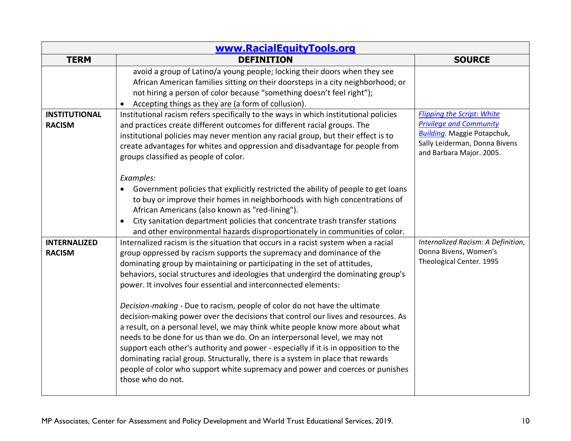| www.RacialEquityTools.org             |                                                                                                                                                                                                                                                                                                                                                                                                                                                                                                                                                                                                                                                                                                                                                                                                                                                                                                                                                                                                               |                                                                                                                                                                         |
|---------------------------------------|---------------------------------------------------------------------------------------------------------------------------------------------------------------------------------------------------------------------------------------------------------------------------------------------------------------------------------------------------------------------------------------------------------------------------------------------------------------------------------------------------------------------------------------------------------------------------------------------------------------------------------------------------------------------------------------------------------------------------------------------------------------------------------------------------------------------------------------------------------------------------------------------------------------------------------------------------------------------------------------------------------------|-------------------------------------------------------------------------------------------------------------------------------------------------------------------------|
| <b>TERM</b>                           | <b>DEFINITION</b>                                                                                                                                                                                                                                                                                                                                                                                                                                                                                                                                                                                                                                                                                                                                                                                                                                                                                                                                                                                             | <b>SOURCE</b>                                                                                                                                                           |
|                                       | avoid a group of Latino/a young people; locking their doors when they see<br>African American families sitting on their doorsteps in a city neighborhood; or<br>not hiring a person of color because "something doesn't feel right");<br>Accepting things as they are (a form of collusion).<br>$\bullet$                                                                                                                                                                                                                                                                                                                                                                                                                                                                                                                                                                                                                                                                                                     |                                                                                                                                                                         |
| <b>INSTITUTIONAL</b><br><b>RACISM</b> | Institutional racism refers specifically to the ways in which institutional policies<br>and practices create different outcomes for different racial groups. The<br>institutional policies may never mention any racial group, but their effect is to<br>create advantages for whites and oppression and disadvantage for people from<br>groups classified as people of color.                                                                                                                                                                                                                                                                                                                                                                                                                                                                                                                                                                                                                                | <b>Flipping the Script: White</b><br><b>Privilege and Community</b><br><b>Building</b> . Maggie Potapchuk,<br>Sally Leiderman, Donna Bivens<br>and Barbara Major. 2005. |
|                                       | Examples:<br>Government policies that explicitly restricted the ability of people to get loans<br>$\bullet$<br>to buy or improve their homes in neighborhoods with high concentrations of<br>African Americans (also known as "red-lining").<br>City sanitation department policies that concentrate trash transfer stations<br>$\bullet$<br>and other environmental hazards disproportionately in communities of color.                                                                                                                                                                                                                                                                                                                                                                                                                                                                                                                                                                                      |                                                                                                                                                                         |
| <b>INTERNALIZED</b><br><b>RACISM</b>  | Internalized racism is the situation that occurs in a racist system when a racial<br>group oppressed by racism supports the supremacy and dominance of the<br>dominating group by maintaining or participating in the set of attitudes,<br>behaviors, social structures and ideologies that undergird the dominating group's<br>power. It involves four essential and interconnected elements:<br>Decision-making - Due to racism, people of color do not have the ultimate<br>decision-making power over the decisions that control our lives and resources. As<br>a result, on a personal level, we may think white people know more about what<br>needs to be done for us than we do. On an interpersonal level, we may not<br>support each other's authority and power - especially if it is in opposition to the<br>dominating racial group. Structurally, there is a system in place that rewards<br>people of color who support white supremacy and power and coerces or punishes<br>those who do not. | Internalized Racism: A Definition,<br>Donna Bivens, Women's<br>Theological Center. 1995                                                                                 |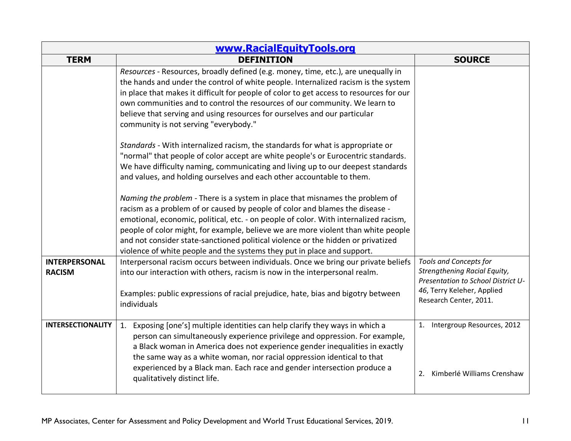| www.RacialEquityTools.org             |                                                                                                                                                                                                                                                                                                                                                                                                                                                                                                          |                                                                                                                                                             |
|---------------------------------------|----------------------------------------------------------------------------------------------------------------------------------------------------------------------------------------------------------------------------------------------------------------------------------------------------------------------------------------------------------------------------------------------------------------------------------------------------------------------------------------------------------|-------------------------------------------------------------------------------------------------------------------------------------------------------------|
| <b>TERM</b>                           | <b>DEFINITION</b>                                                                                                                                                                                                                                                                                                                                                                                                                                                                                        | <b>SOURCE</b>                                                                                                                                               |
|                                       | Resources - Resources, broadly defined (e.g. money, time, etc.), are unequally in<br>the hands and under the control of white people. Internalized racism is the system<br>in place that makes it difficult for people of color to get access to resources for our<br>own communities and to control the resources of our community. We learn to<br>believe that serving and using resources for ourselves and our particular<br>community is not serving "everybody."                                   |                                                                                                                                                             |
|                                       | Standards - With internalized racism, the standards for what is appropriate or<br>"normal" that people of color accept are white people's or Eurocentric standards.<br>We have difficulty naming, communicating and living up to our deepest standards<br>and values, and holding ourselves and each other accountable to them.                                                                                                                                                                          |                                                                                                                                                             |
|                                       | Naming the problem - There is a system in place that misnames the problem of<br>racism as a problem of or caused by people of color and blames the disease -<br>emotional, economic, political, etc. - on people of color. With internalized racism,<br>people of color might, for example, believe we are more violent than white people<br>and not consider state-sanctioned political violence or the hidden or privatized<br>violence of white people and the systems they put in place and support. |                                                                                                                                                             |
| <b>INTERPERSONAL</b><br><b>RACISM</b> | Interpersonal racism occurs between individuals. Once we bring our private beliefs<br>into our interaction with others, racism is now in the interpersonal realm.<br>Examples: public expressions of racial prejudice, hate, bias and bigotry between<br>individuals                                                                                                                                                                                                                                     | <b>Tools and Concepts for</b><br>Strengthening Racial Equity,<br>Presentation to School District U-<br>46, Terry Keleher, Applied<br>Research Center, 2011. |
| <b>INTERSECTIONALITY</b>              | 1. Exposing [one's] multiple identities can help clarify they ways in which a<br>person can simultaneously experience privilege and oppression. For example,<br>a Black woman in America does not experience gender inequalities in exactly<br>the same way as a white woman, nor racial oppression identical to that<br>experienced by a Black man. Each race and gender intersection produce a<br>qualitatively distinct life.                                                                         | 1. Intergroup Resources, 2012<br>Kimberlé Williams Crenshaw<br>2.                                                                                           |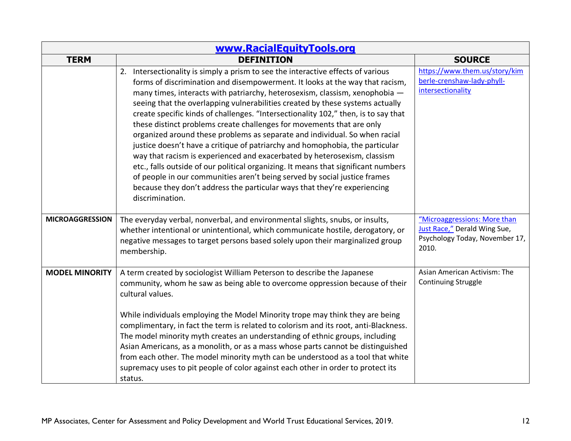| www.RacialEquityTools.org |                                                                                                                                                                                                                                                                                                                                                                                                                                                                                                                                                                                                                                                                                                                                                                                                                                                                                                                                                                                                             |                                                                                                         |
|---------------------------|-------------------------------------------------------------------------------------------------------------------------------------------------------------------------------------------------------------------------------------------------------------------------------------------------------------------------------------------------------------------------------------------------------------------------------------------------------------------------------------------------------------------------------------------------------------------------------------------------------------------------------------------------------------------------------------------------------------------------------------------------------------------------------------------------------------------------------------------------------------------------------------------------------------------------------------------------------------------------------------------------------------|---------------------------------------------------------------------------------------------------------|
| <b>TERM</b>               | <b>DEFINITION</b>                                                                                                                                                                                                                                                                                                                                                                                                                                                                                                                                                                                                                                                                                                                                                                                                                                                                                                                                                                                           | <b>SOURCE</b>                                                                                           |
|                           | 2. Intersectionality is simply a prism to see the interactive effects of various<br>forms of discrimination and disempowerment. It looks at the way that racism,<br>many times, interacts with patriarchy, heterosexism, classism, xenophobia -<br>seeing that the overlapping vulnerabilities created by these systems actually<br>create specific kinds of challenges. "Intersectionality 102," then, is to say that<br>these distinct problems create challenges for movements that are only<br>organized around these problems as separate and individual. So when racial<br>justice doesn't have a critique of patriarchy and homophobia, the particular<br>way that racism is experienced and exacerbated by heterosexism, classism<br>etc., falls outside of our political organizing. It means that significant numbers<br>of people in our communities aren't being served by social justice frames<br>because they don't address the particular ways that they're experiencing<br>discrimination. | https://www.them.us/story/kim<br>berle-crenshaw-lady-phyll-<br>intersectionality                        |
| <b>MICROAGGRESSION</b>    | The everyday verbal, nonverbal, and environmental slights, snubs, or insults,<br>whether intentional or unintentional, which communicate hostile, derogatory, or<br>negative messages to target persons based solely upon their marginalized group<br>membership.                                                                                                                                                                                                                                                                                                                                                                                                                                                                                                                                                                                                                                                                                                                                           | "Microaggressions: More than<br>Just Race," Derald Wing Sue,<br>Psychology Today, November 17,<br>2010. |
| <b>MODEL MINORITY</b>     | A term created by sociologist William Peterson to describe the Japanese<br>community, whom he saw as being able to overcome oppression because of their<br>cultural values.<br>While individuals employing the Model Minority trope may think they are being<br>complimentary, in fact the term is related to colorism and its root, anti-Blackness.<br>The model minority myth creates an understanding of ethnic groups, including<br>Asian Americans, as a monolith, or as a mass whose parts cannot be distinguished<br>from each other. The model minority myth can be understood as a tool that white<br>supremacy uses to pit people of color against each other in order to protect its<br>status.                                                                                                                                                                                                                                                                                                  | Asian American Activism: The<br><b>Continuing Struggle</b>                                              |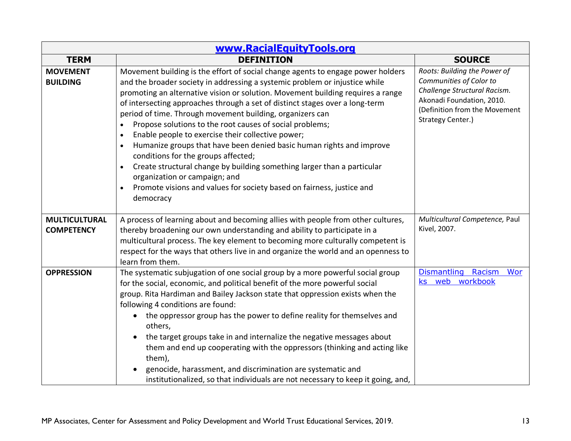| www.RacialEquityTools.org                 |                                                                                                                                                                                                                                                                                                                                                                                                                                                                                                                                                                                                                                                                                                                                                                                                                                                                                      |                                                                                                                                                                            |
|-------------------------------------------|--------------------------------------------------------------------------------------------------------------------------------------------------------------------------------------------------------------------------------------------------------------------------------------------------------------------------------------------------------------------------------------------------------------------------------------------------------------------------------------------------------------------------------------------------------------------------------------------------------------------------------------------------------------------------------------------------------------------------------------------------------------------------------------------------------------------------------------------------------------------------------------|----------------------------------------------------------------------------------------------------------------------------------------------------------------------------|
| <b>TERM</b>                               | <b>DEFINITION</b>                                                                                                                                                                                                                                                                                                                                                                                                                                                                                                                                                                                                                                                                                                                                                                                                                                                                    | <b>SOURCE</b>                                                                                                                                                              |
| <b>MOVEMENT</b><br><b>BUILDING</b>        | Movement building is the effort of social change agents to engage power holders<br>and the broader society in addressing a systemic problem or injustice while<br>promoting an alternative vision or solution. Movement building requires a range<br>of intersecting approaches through a set of distinct stages over a long-term<br>period of time. Through movement building, organizers can<br>Propose solutions to the root causes of social problems;<br>Enable people to exercise their collective power;<br>$\bullet$<br>Humanize groups that have been denied basic human rights and improve<br>$\bullet$<br>conditions for the groups affected;<br>Create structural change by building something larger than a particular<br>$\bullet$<br>organization or campaign; and<br>Promote visions and values for society based on fairness, justice and<br>$\bullet$<br>democracy | Roots: Building the Power of<br>Communities of Color to<br>Challenge Structural Racism.<br>Akonadi Foundation, 2010.<br>(Definition from the Movement<br>Strategy Center.) |
| <b>MULTICULTURAL</b><br><b>COMPETENCY</b> | A process of learning about and becoming allies with people from other cultures,<br>thereby broadening our own understanding and ability to participate in a<br>multicultural process. The key element to becoming more culturally competent is<br>respect for the ways that others live in and organize the world and an openness to<br>learn from them.                                                                                                                                                                                                                                                                                                                                                                                                                                                                                                                            | Multicultural Competence, Paul<br>Kivel, 2007.                                                                                                                             |
| <b>OPPRESSION</b>                         | The systematic subjugation of one social group by a more powerful social group<br>for the social, economic, and political benefit of the more powerful social<br>group. Rita Hardiman and Bailey Jackson state that oppression exists when the<br>following 4 conditions are found:<br>the oppressor group has the power to define reality for themselves and<br>$\bullet$<br>others,<br>the target groups take in and internalize the negative messages about<br>them and end up cooperating with the oppressors (thinking and acting like<br>them),<br>genocide, harassment, and discrimination are systematic and<br>institutionalized, so that individuals are not necessary to keep it going, and,                                                                                                                                                                              | Dismantling Racism<br>Wor<br>web workbook<br><b>ks</b>                                                                                                                     |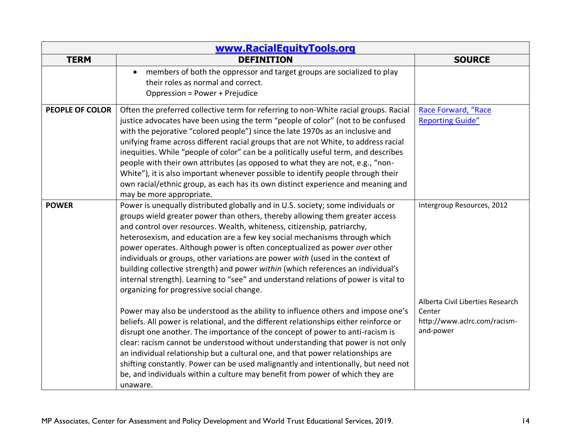| www.RacialEquityTools.org |                                                                                                                                                                                                                                                                                                                                                                                                                                                                                                                                                                                                                                                                                                                                |                                                                                         |
|---------------------------|--------------------------------------------------------------------------------------------------------------------------------------------------------------------------------------------------------------------------------------------------------------------------------------------------------------------------------------------------------------------------------------------------------------------------------------------------------------------------------------------------------------------------------------------------------------------------------------------------------------------------------------------------------------------------------------------------------------------------------|-----------------------------------------------------------------------------------------|
| <b>TERM</b>               | <b>DEFINITION</b>                                                                                                                                                                                                                                                                                                                                                                                                                                                                                                                                                                                                                                                                                                              | <b>SOURCE</b>                                                                           |
|                           | members of both the oppressor and target groups are socialized to play<br>$\bullet$<br>their roles as normal and correct.<br>Oppression = Power + Prejudice                                                                                                                                                                                                                                                                                                                                                                                                                                                                                                                                                                    |                                                                                         |
| <b>PEOPLE OF COLOR</b>    | Often the preferred collective term for referring to non-White racial groups. Racial<br>justice advocates have been using the term "people of color" (not to be confused<br>with the pejorative "colored people") since the late 1970s as an inclusive and<br>unifying frame across different racial groups that are not White, to address racial<br>inequities. While "people of color" can be a politically useful term, and describes<br>people with their own attributes (as opposed to what they are not, e.g., "non-<br>White"), it is also important whenever possible to identify people through their<br>own racial/ethnic group, as each has its own distinct experience and meaning and<br>may be more appropriate. | Race Forward, "Race<br><b>Reporting Guide"</b>                                          |
| <b>POWER</b>              | Power is unequally distributed globally and in U.S. society; some individuals or<br>groups wield greater power than others, thereby allowing them greater access<br>and control over resources. Wealth, whiteness, citizenship, patriarchy,<br>heterosexism, and education are a few key social mechanisms through which<br>power operates. Although power is often conceptualized as power over other<br>individuals or groups, other variations are power with (used in the context of<br>building collective strength) and power within (which references an individual's<br>internal strength). Learning to "see" and understand relations of power is vital to<br>organizing for progressive social change.               | Intergroup Resources, 2012                                                              |
|                           | Power may also be understood as the ability to influence others and impose one's<br>beliefs. All power is relational, and the different relationships either reinforce or<br>disrupt one another. The importance of the concept of power to anti-racism is<br>clear: racism cannot be understood without understanding that power is not only<br>an individual relationship but a cultural one, and that power relationships are<br>shifting constantly. Power can be used malignantly and intentionally, but need not<br>be, and individuals within a culture may benefit from power of which they are<br>unaware.                                                                                                            | Alberta Civil Liberties Research<br>Center<br>http://www.aclrc.com/racism-<br>and-power |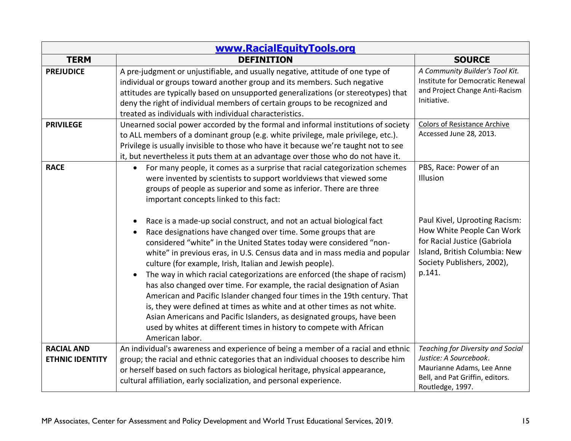| www.RacialEquityTools.org                   |                                                                                                                                                                                                                                                                                                                                                                                                                                                                                                                                                                                                                                                                                                                                                                                                                                                                |                                                                                                                                                                     |
|---------------------------------------------|----------------------------------------------------------------------------------------------------------------------------------------------------------------------------------------------------------------------------------------------------------------------------------------------------------------------------------------------------------------------------------------------------------------------------------------------------------------------------------------------------------------------------------------------------------------------------------------------------------------------------------------------------------------------------------------------------------------------------------------------------------------------------------------------------------------------------------------------------------------|---------------------------------------------------------------------------------------------------------------------------------------------------------------------|
| <b>TERM</b>                                 | <b>DEFINITION</b>                                                                                                                                                                                                                                                                                                                                                                                                                                                                                                                                                                                                                                                                                                                                                                                                                                              | <b>SOURCE</b>                                                                                                                                                       |
| <b>PREJUDICE</b>                            | A pre-judgment or unjustifiable, and usually negative, attitude of one type of<br>individual or groups toward another group and its members. Such negative<br>attitudes are typically based on unsupported generalizations (or stereotypes) that<br>deny the right of individual members of certain groups to be recognized and<br>treated as individuals with individual characteristics.                                                                                                                                                                                                                                                                                                                                                                                                                                                                     | A Community Builder's Tool Kit.<br>Institute for Democratic Renewal<br>and Project Change Anti-Racism<br>Initiative.                                                |
| <b>PRIVILEGE</b>                            | Unearned social power accorded by the formal and informal institutions of society<br>to ALL members of a dominant group (e.g. white privilege, male privilege, etc.).<br>Privilege is usually invisible to those who have it because we're taught not to see<br>it, but nevertheless it puts them at an advantage over those who do not have it.                                                                                                                                                                                                                                                                                                                                                                                                                                                                                                               | <b>Colors of Resistance Archive</b><br>Accessed June 28, 2013.                                                                                                      |
| <b>RACE</b>                                 | For many people, it comes as a surprise that racial categorization schemes<br>$\bullet$<br>were invented by scientists to support worldviews that viewed some<br>groups of people as superior and some as inferior. There are three<br>important concepts linked to this fact:                                                                                                                                                                                                                                                                                                                                                                                                                                                                                                                                                                                 | PBS, Race: Power of an<br>Illusion                                                                                                                                  |
|                                             | Race is a made-up social construct, and not an actual biological fact<br>Race designations have changed over time. Some groups that are<br>considered "white" in the United States today were considered "non-<br>white" in previous eras, in U.S. Census data and in mass media and popular<br>culture (for example, Irish, Italian and Jewish people).<br>The way in which racial categorizations are enforced (the shape of racism)<br>$\bullet$<br>has also changed over time. For example, the racial designation of Asian<br>American and Pacific Islander changed four times in the 19th century. That<br>is, they were defined at times as white and at other times as not white.<br>Asian Americans and Pacific Islanders, as designated groups, have been<br>used by whites at different times in history to compete with African<br>American labor. | Paul Kivel, Uprooting Racism:<br>How White People Can Work<br>for Racial Justice (Gabriola<br>Island, British Columbia: New<br>Society Publishers, 2002),<br>p.141. |
| <b>RACIAL AND</b><br><b>ETHNIC IDENTITY</b> | An individual's awareness and experience of being a member of a racial and ethnic<br>group; the racial and ethnic categories that an individual chooses to describe him<br>or herself based on such factors as biological heritage, physical appearance,<br>cultural affiliation, early socialization, and personal experience.                                                                                                                                                                                                                                                                                                                                                                                                                                                                                                                                | <b>Teaching for Diversity and Social</b><br>Justice: A Sourcebook.<br>Maurianne Adams, Lee Anne<br>Bell, and Pat Griffin, editors.<br>Routledge, 1997.              |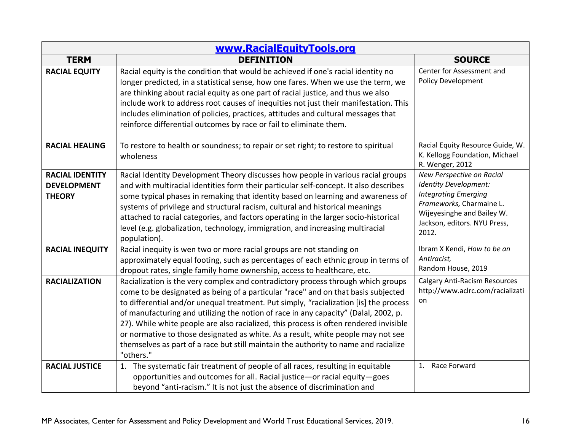| www.RacialEquityTools.org                                     |                                                                                                                                                                                                                                                                                                                                                                                                                                                                                                                                                                                                                                        |                                                                                                                                                                                      |
|---------------------------------------------------------------|----------------------------------------------------------------------------------------------------------------------------------------------------------------------------------------------------------------------------------------------------------------------------------------------------------------------------------------------------------------------------------------------------------------------------------------------------------------------------------------------------------------------------------------------------------------------------------------------------------------------------------------|--------------------------------------------------------------------------------------------------------------------------------------------------------------------------------------|
| <b>TERM</b>                                                   | <b>DEFINITION</b>                                                                                                                                                                                                                                                                                                                                                                                                                                                                                                                                                                                                                      | <b>SOURCE</b>                                                                                                                                                                        |
| <b>RACIAL EQUITY</b>                                          | Racial equity is the condition that would be achieved if one's racial identity no<br>longer predicted, in a statistical sense, how one fares. When we use the term, we<br>are thinking about racial equity as one part of racial justice, and thus we also<br>include work to address root causes of inequities not just their manifestation. This<br>includes elimination of policies, practices, attitudes and cultural messages that<br>reinforce differential outcomes by race or fail to eliminate them.                                                                                                                          | Center for Assessment and<br><b>Policy Development</b>                                                                                                                               |
| <b>RACIAL HEALING</b>                                         | To restore to health or soundness; to repair or set right; to restore to spiritual<br>wholeness                                                                                                                                                                                                                                                                                                                                                                                                                                                                                                                                        | Racial Equity Resource Guide, W.<br>K. Kellogg Foundation, Michael<br>R. Wenger, 2012                                                                                                |
| <b>RACIAL IDENTITY</b><br><b>DEVELOPMENT</b><br><b>THEORY</b> | Racial Identity Development Theory discusses how people in various racial groups<br>and with multiracial identities form their particular self-concept. It also describes<br>some typical phases in remaking that identity based on learning and awareness of<br>systems of privilege and structural racism, cultural and historical meanings<br>attached to racial categories, and factors operating in the larger socio-historical<br>level (e.g. globalization, technology, immigration, and increasing multiracial<br>population).                                                                                                 | New Perspective on Racial<br>Identity Development:<br><b>Integrating Emerging</b><br>Frameworks, Charmaine L.<br>Wijeyesinghe and Bailey W.<br>Jackson, editors. NYU Press,<br>2012. |
| <b>RACIAL INEQUITY</b>                                        | Racial inequity is wen two or more racial groups are not standing on<br>approximately equal footing, such as percentages of each ethnic group in terms of<br>dropout rates, single family home ownership, access to healthcare, etc.                                                                                                                                                                                                                                                                                                                                                                                                   | Ibram X Kendi, How to be an<br>Antiracist,<br>Random House, 2019                                                                                                                     |
| <b>RACIALIZATION</b>                                          | Racialization is the very complex and contradictory process through which groups<br>come to be designated as being of a particular "race" and on that basis subjected<br>to differential and/or unequal treatment. Put simply, "racialization [is] the process<br>of manufacturing and utilizing the notion of race in any capacity" (Dalal, 2002, p.<br>27). While white people are also racialized, this process is often rendered invisible<br>or normative to those designated as white. As a result, white people may not see<br>themselves as part of a race but still maintain the authority to name and racialize<br>"others." | <b>Calgary Anti-Racism Resources</b><br>http://www.aclrc.com/racializati<br>on                                                                                                       |
| <b>RACIAL JUSTICE</b>                                         | 1. The systematic fair treatment of people of all races, resulting in equitable<br>opportunities and outcomes for all. Racial justice-or racial equity-goes<br>beyond "anti-racism." It is not just the absence of discrimination and                                                                                                                                                                                                                                                                                                                                                                                                  | 1. Race Forward                                                                                                                                                                      |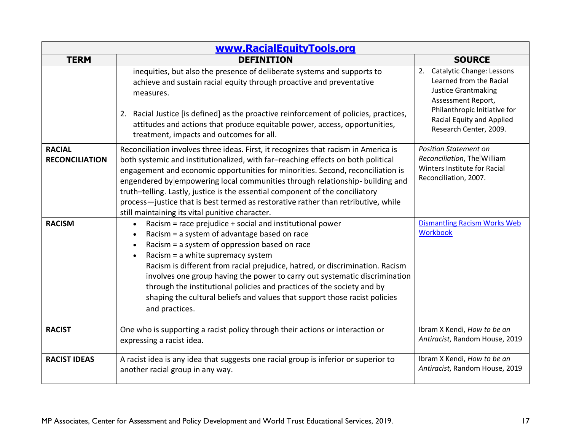| www.RacialEquityTools.org              |                                                                                                                                                                                                                                                                                                                                                                                                                                                                                                                                                                      |                                                                                                                                                                                                    |
|----------------------------------------|----------------------------------------------------------------------------------------------------------------------------------------------------------------------------------------------------------------------------------------------------------------------------------------------------------------------------------------------------------------------------------------------------------------------------------------------------------------------------------------------------------------------------------------------------------------------|----------------------------------------------------------------------------------------------------------------------------------------------------------------------------------------------------|
| <b>TERM</b>                            | <b>DEFINITION</b>                                                                                                                                                                                                                                                                                                                                                                                                                                                                                                                                                    | <b>SOURCE</b>                                                                                                                                                                                      |
|                                        | inequities, but also the presence of deliberate systems and supports to<br>achieve and sustain racial equity through proactive and preventative<br>measures.<br>2. Racial Justice [is defined] as the proactive reinforcement of policies, practices,<br>attitudes and actions that produce equitable power, access, opportunities,<br>treatment, impacts and outcomes for all.                                                                                                                                                                                      | 2. Catalytic Change: Lessons<br>Learned from the Racial<br><b>Justice Grantmaking</b><br>Assessment Report,<br>Philanthropic Initiative for<br>Racial Equity and Applied<br>Research Center, 2009. |
| <b>RACIAL</b><br><b>RECONCILIATION</b> | Reconciliation involves three ideas. First, it recognizes that racism in America is<br>both systemic and institutionalized, with far-reaching effects on both political<br>engagement and economic opportunities for minorities. Second, reconciliation is<br>engendered by empowering local communities through relationship- building and<br>truth-telling. Lastly, justice is the essential component of the conciliatory<br>process-justice that is best termed as restorative rather than retributive, while<br>still maintaining its vital punitive character. | <b>Position Statement on</b><br>Reconciliation, The William<br>Winters Institute for Racial<br>Reconciliation, 2007.                                                                               |
| <b>RACISM</b>                          | • Racism = race prejudice + social and institutional power<br>Racism = a system of advantage based on race<br>Racism = a system of oppression based on race<br>Racism = a white supremacy system<br>$\bullet$<br>Racism is different from racial prejudice, hatred, or discrimination. Racism<br>involves one group having the power to carry out systematic discrimination<br>through the institutional policies and practices of the society and by<br>shaping the cultural beliefs and values that support those racist policies<br>and practices.                | <b>Dismantling Racism Works Web</b><br><b>Workbook</b>                                                                                                                                             |
| <b>RACIST</b>                          | One who is supporting a racist policy through their actions or interaction or<br>expressing a racist idea.                                                                                                                                                                                                                                                                                                                                                                                                                                                           | Ibram X Kendi, How to be an<br>Antiracist, Random House, 2019                                                                                                                                      |
| <b>RACIST IDEAS</b>                    | A racist idea is any idea that suggests one racial group is inferior or superior to<br>another racial group in any way.                                                                                                                                                                                                                                                                                                                                                                                                                                              | Ibram X Kendi, How to be an<br>Antiracist, Random House, 2019                                                                                                                                      |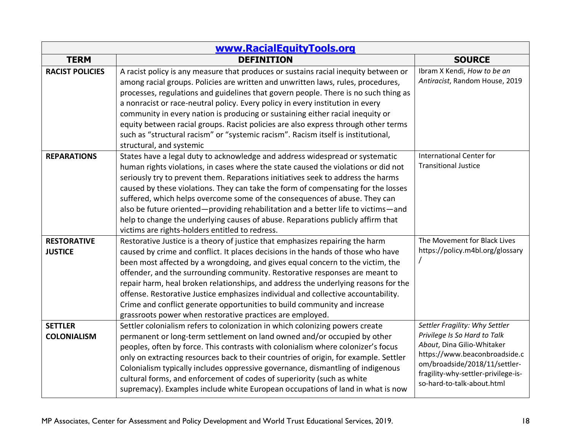| www.RacialEquityTools.org            |                                                                                                                                                                                                                                                                                                                                                                                                                                                                                                                                                                                                                                                         |                                                                                                                                                                                                                                     |
|--------------------------------------|---------------------------------------------------------------------------------------------------------------------------------------------------------------------------------------------------------------------------------------------------------------------------------------------------------------------------------------------------------------------------------------------------------------------------------------------------------------------------------------------------------------------------------------------------------------------------------------------------------------------------------------------------------|-------------------------------------------------------------------------------------------------------------------------------------------------------------------------------------------------------------------------------------|
| <b>TERM</b>                          | <b>DEFINITION</b>                                                                                                                                                                                                                                                                                                                                                                                                                                                                                                                                                                                                                                       | <b>SOURCE</b>                                                                                                                                                                                                                       |
| <b>RACIST POLICIES</b>               | A racist policy is any measure that produces or sustains racial inequity between or<br>among racial groups. Policies are written and unwritten laws, rules, procedures,<br>processes, regulations and guidelines that govern people. There is no such thing as<br>a nonracist or race-neutral policy. Every policy in every institution in every<br>community in every nation is producing or sustaining either racial inequity or<br>equity between racial groups. Racist policies are also express through other terms<br>such as "structural racism" or "systemic racism". Racism itself is institutional,<br>structural, and systemic               | Ibram X Kendi, How to be an<br>Antiracist, Random House, 2019                                                                                                                                                                       |
| <b>REPARATIONS</b>                   | States have a legal duty to acknowledge and address widespread or systematic<br>human rights violations, in cases where the state caused the violations or did not<br>seriously try to prevent them. Reparations initiatives seek to address the harms<br>caused by these violations. They can take the form of compensating for the losses<br>suffered, which helps overcome some of the consequences of abuse. They can<br>also be future oriented-providing rehabilitation and a better life to victims-and<br>help to change the underlying causes of abuse. Reparations publicly affirm that<br>victims are rights-holders entitled to redress.    | <b>International Center for</b><br><b>Transitional Justice</b>                                                                                                                                                                      |
| <b>RESTORATIVE</b><br><b>JUSTICE</b> | Restorative Justice is a theory of justice that emphasizes repairing the harm<br>caused by crime and conflict. It places decisions in the hands of those who have<br>been most affected by a wrongdoing, and gives equal concern to the victim, the<br>offender, and the surrounding community. Restorative responses are meant to<br>repair harm, heal broken relationships, and address the underlying reasons for the<br>offense. Restorative Justice emphasizes individual and collective accountability.<br>Crime and conflict generate opportunities to build community and increase<br>grassroots power when restorative practices are employed. | The Movement for Black Lives<br>https://policy.m4bl.org/glossary                                                                                                                                                                    |
| <b>SETTLER</b><br><b>COLONIALISM</b> | Settler colonialism refers to colonization in which colonizing powers create<br>permanent or long-term settlement on land owned and/or occupied by other<br>peoples, often by force. This contrasts with colonialism where colonizer's focus<br>only on extracting resources back to their countries of origin, for example. Settler<br>Colonialism typically includes oppressive governance, dismantling of indigenous<br>cultural forms, and enforcement of codes of superiority (such as white<br>supremacy). Examples include white European occupations of land in what is now                                                                     | Settler Fragility: Why Settler<br>Privilege Is So Hard to Talk<br>About, Dina Gilio-Whitaker<br>https://www.beaconbroadside.c<br>om/broadside/2018/11/settler-<br>fragility-why-settler-privilege-is-<br>so-hard-to-talk-about.html |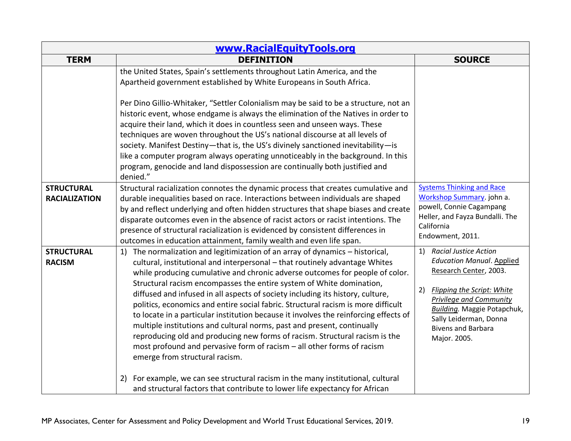| www.RacialEquityTools.org                 |                                                                                                                                                                                                                                                                                                                                                                                                                                                                                                                                                                                                                                                                                                                                                                                                                                                                                                                                                                                                                                 |                                                                                                                                                                                                                                                                                            |
|-------------------------------------------|---------------------------------------------------------------------------------------------------------------------------------------------------------------------------------------------------------------------------------------------------------------------------------------------------------------------------------------------------------------------------------------------------------------------------------------------------------------------------------------------------------------------------------------------------------------------------------------------------------------------------------------------------------------------------------------------------------------------------------------------------------------------------------------------------------------------------------------------------------------------------------------------------------------------------------------------------------------------------------------------------------------------------------|--------------------------------------------------------------------------------------------------------------------------------------------------------------------------------------------------------------------------------------------------------------------------------------------|
| <b>TERM</b>                               | <b>DEFINITION</b>                                                                                                                                                                                                                                                                                                                                                                                                                                                                                                                                                                                                                                                                                                                                                                                                                                                                                                                                                                                                               | <b>SOURCE</b>                                                                                                                                                                                                                                                                              |
|                                           | the United States, Spain's settlements throughout Latin America, and the<br>Apartheid government established by White Europeans in South Africa.                                                                                                                                                                                                                                                                                                                                                                                                                                                                                                                                                                                                                                                                                                                                                                                                                                                                                |                                                                                                                                                                                                                                                                                            |
|                                           | Per Dino Gillio-Whitaker, "Settler Colonialism may be said to be a structure, not an<br>historic event, whose endgame is always the elimination of the Natives in order to<br>acquire their land, which it does in countless seen and unseen ways. These<br>techniques are woven throughout the US's national discourse at all levels of<br>society. Manifest Destiny-that is, the US's divinely sanctioned inevitability-is<br>like a computer program always operating unnoticeably in the background. In this<br>program, genocide and land dispossession are continually both justified and<br>denied."                                                                                                                                                                                                                                                                                                                                                                                                                     |                                                                                                                                                                                                                                                                                            |
| <b>STRUCTURAL</b><br><b>RACIALIZATION</b> | Structural racialization connotes the dynamic process that creates cumulative and<br>durable inequalities based on race. Interactions between individuals are shaped<br>by and reflect underlying and often hidden structures that shape biases and create<br>disparate outcomes even in the absence of racist actors or racist intentions. The<br>presence of structural racialization is evidenced by consistent differences in<br>outcomes in education attainment, family wealth and even life span.                                                                                                                                                                                                                                                                                                                                                                                                                                                                                                                        | <b>Systems Thinking and Race</b><br>Workshop Summary. john a.<br>powell, Connie Cagampang<br>Heller, and Fayza Bundalli. The<br>California<br>Endowment, 2011.                                                                                                                             |
| <b>STRUCTURAL</b><br><b>RACISM</b>        | 1) The normalization and legitimization of an array of dynamics - historical,<br>cultural, institutional and interpersonal - that routinely advantage Whites<br>while producing cumulative and chronic adverse outcomes for people of color.<br>Structural racism encompasses the entire system of White domination,<br>diffused and infused in all aspects of society including its history, culture,<br>politics, economics and entire social fabric. Structural racism is more difficult<br>to locate in a particular institution because it involves the reinforcing effects of<br>multiple institutions and cultural norms, past and present, continually<br>reproducing old and producing new forms of racism. Structural racism is the<br>most profound and pervasive form of racism - all other forms of racism<br>emerge from structural racism.<br>For example, we can see structural racism in the many institutional, cultural<br>2)<br>and structural factors that contribute to lower life expectancy for African | <b>Racial Justice Action</b><br>1)<br><b>Education Manual. Applied</b><br>Research Center, 2003.<br><b>Flipping the Script: White</b><br>2)<br><b>Privilege and Community</b><br><b>Building.</b> Maggie Potapchuk,<br>Sally Leiderman, Donna<br><b>Bivens and Barbara</b><br>Major. 2005. |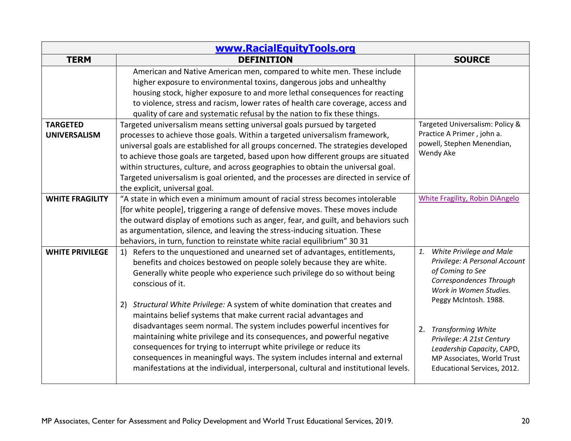| www.RacialEquityTools.org              |                                                                                                                                                                                                                                                                                                                                                                                                                                                                                                                                                                                                                                                                                                                                                                                                              |                                                                                                                                                                                                                                                                                                                    |
|----------------------------------------|--------------------------------------------------------------------------------------------------------------------------------------------------------------------------------------------------------------------------------------------------------------------------------------------------------------------------------------------------------------------------------------------------------------------------------------------------------------------------------------------------------------------------------------------------------------------------------------------------------------------------------------------------------------------------------------------------------------------------------------------------------------------------------------------------------------|--------------------------------------------------------------------------------------------------------------------------------------------------------------------------------------------------------------------------------------------------------------------------------------------------------------------|
| <b>TERM</b>                            | <b>DEFINITION</b>                                                                                                                                                                                                                                                                                                                                                                                                                                                                                                                                                                                                                                                                                                                                                                                            | <b>SOURCE</b>                                                                                                                                                                                                                                                                                                      |
|                                        | American and Native American men, compared to white men. These include<br>higher exposure to environmental toxins, dangerous jobs and unhealthy<br>housing stock, higher exposure to and more lethal consequences for reacting<br>to violence, stress and racism, lower rates of health care coverage, access and<br>quality of care and systematic refusal by the nation to fix these things.                                                                                                                                                                                                                                                                                                                                                                                                               |                                                                                                                                                                                                                                                                                                                    |
| <b>TARGETED</b><br><b>UNIVERSALISM</b> | Targeted universalism means setting universal goals pursued by targeted<br>processes to achieve those goals. Within a targeted universalism framework,<br>universal goals are established for all groups concerned. The strategies developed<br>to achieve those goals are targeted, based upon how different groups are situated<br>within structures, culture, and across geographies to obtain the universal goal.<br>Targeted universalism is goal oriented, and the processes are directed in service of<br>the explicit, universal goal.                                                                                                                                                                                                                                                               | Targeted Universalism: Policy &<br>Practice A Primer, john a.<br>powell, Stephen Menendian,<br>Wendy Ake                                                                                                                                                                                                           |
| <b>WHITE FRAGILITY</b>                 | "A state in which even a minimum amount of racial stress becomes intolerable<br>[for white people], triggering a range of defensive moves. These moves include<br>the outward display of emotions such as anger, fear, and guilt, and behaviors such<br>as argumentation, silence, and leaving the stress-inducing situation. These<br>behaviors, in turn, function to reinstate white racial equilibrium" 30 31                                                                                                                                                                                                                                                                                                                                                                                             | <b>White Fragility, Robin DiAngelo</b>                                                                                                                                                                                                                                                                             |
| <b>WHITE PRIVILEGE</b>                 | 1) Refers to the unquestioned and unearned set of advantages, entitlements,<br>benefits and choices bestowed on people solely because they are white.<br>Generally white people who experience such privilege do so without being<br>conscious of it.<br>Structural White Privilege: A system of white domination that creates and<br>2)<br>maintains belief systems that make current racial advantages and<br>disadvantages seem normal. The system includes powerful incentives for<br>maintaining white privilege and its consequences, and powerful negative<br>consequences for trying to interrupt white privilege or reduce its<br>consequences in meaningful ways. The system includes internal and external<br>manifestations at the individual, interpersonal, cultural and institutional levels. | White Privilege and Male<br>1.<br>Privilege: A Personal Account<br>of Coming to See<br>Correspondences Through<br>Work in Women Studies.<br>Peggy McIntosh. 1988.<br>2. Transforming White<br>Privilege: A 21st Century<br>Leadership Capacity, CAPD,<br>MP Associates, World Trust<br>Educational Services, 2012. |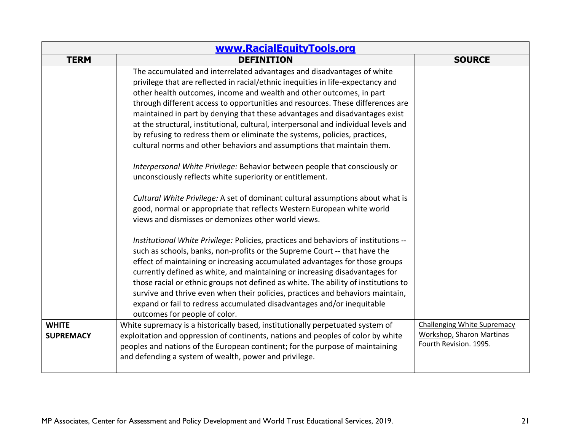| www.RacialEquityTools.org        |                                                                                                                                                                                                                                                                                                                                                                                                                                                                                                                                                                                                                                                                                                                                                                                                                                                                                                                                                                                                                                                                                                                                                                                                                                                                   |                                                                                                  |
|----------------------------------|-------------------------------------------------------------------------------------------------------------------------------------------------------------------------------------------------------------------------------------------------------------------------------------------------------------------------------------------------------------------------------------------------------------------------------------------------------------------------------------------------------------------------------------------------------------------------------------------------------------------------------------------------------------------------------------------------------------------------------------------------------------------------------------------------------------------------------------------------------------------------------------------------------------------------------------------------------------------------------------------------------------------------------------------------------------------------------------------------------------------------------------------------------------------------------------------------------------------------------------------------------------------|--------------------------------------------------------------------------------------------------|
| <b>TERM</b>                      | <b>DEFINITION</b>                                                                                                                                                                                                                                                                                                                                                                                                                                                                                                                                                                                                                                                                                                                                                                                                                                                                                                                                                                                                                                                                                                                                                                                                                                                 | <b>SOURCE</b>                                                                                    |
|                                  | The accumulated and interrelated advantages and disadvantages of white<br>privilege that are reflected in racial/ethnic inequities in life-expectancy and<br>other health outcomes, income and wealth and other outcomes, in part<br>through different access to opportunities and resources. These differences are<br>maintained in part by denying that these advantages and disadvantages exist<br>at the structural, institutional, cultural, interpersonal and individual levels and<br>by refusing to redress them or eliminate the systems, policies, practices,<br>cultural norms and other behaviors and assumptions that maintain them.<br>Interpersonal White Privilege: Behavior between people that consciously or<br>unconsciously reflects white superiority or entitlement.<br>Cultural White Privilege: A set of dominant cultural assumptions about what is<br>good, normal or appropriate that reflects Western European white world<br>views and dismisses or demonizes other world views.<br>Institutional White Privilege: Policies, practices and behaviors of institutions --<br>such as schools, banks, non-profits or the Supreme Court -- that have the<br>effect of maintaining or increasing accumulated advantages for those groups |                                                                                                  |
|                                  | currently defined as white, and maintaining or increasing disadvantages for<br>those racial or ethnic groups not defined as white. The ability of institutions to<br>survive and thrive even when their policies, practices and behaviors maintain,<br>expand or fail to redress accumulated disadvantages and/or inequitable<br>outcomes for people of color.                                                                                                                                                                                                                                                                                                                                                                                                                                                                                                                                                                                                                                                                                                                                                                                                                                                                                                    |                                                                                                  |
| <b>WHITE</b><br><b>SUPREMACY</b> | White supremacy is a historically based, institutionally perpetuated system of<br>exploitation and oppression of continents, nations and peoples of color by white<br>peoples and nations of the European continent; for the purpose of maintaining<br>and defending a system of wealth, power and privilege.                                                                                                                                                                                                                                                                                                                                                                                                                                                                                                                                                                                                                                                                                                                                                                                                                                                                                                                                                     | <b>Challenging White Supremacy</b><br><b>Workshop, Sharon Martinas</b><br>Fourth Revision. 1995. |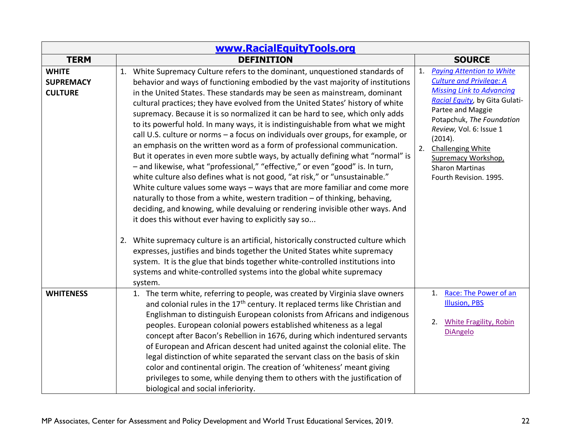| www.RacialEquityTools.org                          |                                                                                                                                                                                                                                                                                                                                                                                                                                                                                                                                                                                                                                                                                                                                                                                                                                                                                                                                                                                                                                                                                                                                                                                                                            |                                                                                                                                                                                                                                                                                                                                                      |
|----------------------------------------------------|----------------------------------------------------------------------------------------------------------------------------------------------------------------------------------------------------------------------------------------------------------------------------------------------------------------------------------------------------------------------------------------------------------------------------------------------------------------------------------------------------------------------------------------------------------------------------------------------------------------------------------------------------------------------------------------------------------------------------------------------------------------------------------------------------------------------------------------------------------------------------------------------------------------------------------------------------------------------------------------------------------------------------------------------------------------------------------------------------------------------------------------------------------------------------------------------------------------------------|------------------------------------------------------------------------------------------------------------------------------------------------------------------------------------------------------------------------------------------------------------------------------------------------------------------------------------------------------|
| <b>TERM</b>                                        | <b>DEFINITION</b>                                                                                                                                                                                                                                                                                                                                                                                                                                                                                                                                                                                                                                                                                                                                                                                                                                                                                                                                                                                                                                                                                                                                                                                                          | <b>SOURCE</b>                                                                                                                                                                                                                                                                                                                                        |
| <b>WHITE</b><br><b>SUPREMACY</b><br><b>CULTURE</b> | 1. White Supremacy Culture refers to the dominant, unquestioned standards of<br>behavior and ways of functioning embodied by the vast majority of institutions<br>in the United States. These standards may be seen as mainstream, dominant<br>cultural practices; they have evolved from the United States' history of white<br>supremacy. Because it is so normalized it can be hard to see, which only adds<br>to its powerful hold. In many ways, it is indistinguishable from what we might<br>call U.S. culture or norms - a focus on individuals over groups, for example, or<br>an emphasis on the written word as a form of professional communication.<br>But it operates in even more subtle ways, by actually defining what "normal" is<br>- and likewise, what "professional," "effective," or even "good" is. In turn,<br>white culture also defines what is not good, "at risk," or "unsustainable."<br>White culture values some ways - ways that are more familiar and come more<br>naturally to those from a white, western tradition - of thinking, behaving,<br>deciding, and knowing, while devaluing or rendering invisible other ways. And<br>it does this without ever having to explicitly say so | <b>Paying Attention to White</b><br>1.<br><b>Culture and Privilege: A</b><br><b>Missing Link to Advancing</b><br>Racial Equity, by Gita Gulati-<br>Partee and Maggie<br>Potapchuk, The Foundation<br>Review, Vol. 6: Issue 1<br>(2014).<br>2.<br><b>Challenging White</b><br>Supremacy Workshop,<br><b>Sharon Martinas</b><br>Fourth Revision. 1995. |
|                                                    | 2. White supremacy culture is an artificial, historically constructed culture which<br>expresses, justifies and binds together the United States white supremacy<br>system. It is the glue that binds together white-controlled institutions into<br>systems and white-controlled systems into the global white supremacy<br>system.                                                                                                                                                                                                                                                                                                                                                                                                                                                                                                                                                                                                                                                                                                                                                                                                                                                                                       |                                                                                                                                                                                                                                                                                                                                                      |
| <b>WHITENESS</b>                                   | 1. The term white, referring to people, was created by Virginia slave owners<br>and colonial rules in the 17 <sup>th</sup> century. It replaced terms like Christian and<br>Englishman to distinguish European colonists from Africans and indigenous<br>peoples. European colonial powers established whiteness as a legal<br>concept after Bacon's Rebellion in 1676, during which indentured servants<br>of European and African descent had united against the colonial elite. The<br>legal distinction of white separated the servant class on the basis of skin<br>color and continental origin. The creation of 'whiteness' meant giving<br>privileges to some, while denying them to others with the justification of<br>biological and social inferiority.                                                                                                                                                                                                                                                                                                                                                                                                                                                        | Race: The Power of an<br>1.<br><b>Illusion, PBS</b><br><b>White Fragility, Robin</b><br>2.<br><b>DiAngelo</b>                                                                                                                                                                                                                                        |